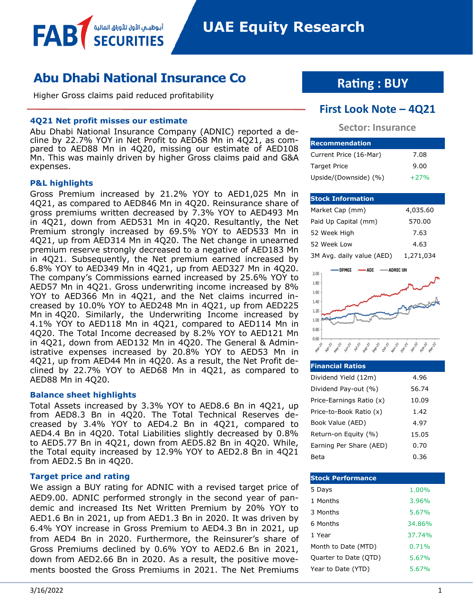# **Abu Dhabi National Insurance Co**

Higher Gross claims paid reduced profitability

أبـوظبـــمي الأول للأوراق المالية

### **4Q21 Net profit misses our estimate**

Abu Dhabi National Insurance Company (ADNIC) reported a decline by 22.7% YOY in Net Profit to AED68 Mn in 4Q21, as compared to AED88 Mn in 4Q20, missing our estimate of AED108 Mn. This was mainly driven by higher Gross claims paid and G&A expenses.

### **P&L highlights**

FAB

Gross Premium increased by 21.2% YOY to AED1,025 Mn in 4Q21, as compared to AED846 Mn in 4Q20. Reinsurance share of gross premiums written decreased by 7.3% YOY to AED493 Mn in 4Q21, down from AED531 Mn in 4Q20. Resultantly, the Net Premium strongly increased by 69.5% YOY to AED533 Mn in 4Q21, up from AED314 Mn in 4Q20. The Net change in unearned premium reserve strongly decreased to a negative of AED183 Mn in 4Q21. Subsequently, the Net premium earned increased by 6.8% YOY to AED349 Mn in 4Q21, up from AED327 Mn in 4Q20. The company's Commissions earned increased by 25.6% YOY to AED57 Mn in 4Q21. Gross underwriting income increased by 8% YOY to AED366 Mn in 4Q21, and the Net claims incurred increased by 10.0% YOY to AED248 Mn in 4Q21, up from AED225 Mn in 4Q20. Similarly, the Underwriting Income increased by 4.1% YOY to AED118 Mn in 4Q21, compared to AED114 Mn in 4Q20. The Total Income decreased by 8.2% YOY to AED121 Mn in 4Q21, down from AED132 Mn in 4Q20. The General & Administrative expenses increased by 20.8% YOY to AED53 Mn in 4Q21, up from AED44 Mn in 4Q20. As a result, the Net Profit declined by 22.7% YOY to AED68 Mn in 4Q21, as compared to AED88 Mn in 4Q20.

#### **Balance sheet highlights**

Total Assets increased by 3.3% YOY to AED8.6 Bn in 4Q21, up from AED8.3 Bn in 4Q20. The Total Technical Reserves decreased by 3.4% YOY to AED4.2 Bn in 4Q21, compared to AED4.4 Bn in 4Q20. Total Liabilities slightly decreased by 0.8% to AED5.77 Bn in 4Q21, down from AED5.82 Bn in 4Q20. While, the Total equity increased by 12.9% YOY to AED2.8 Bn in 4Q21 from AED2.5 Bn in 4Q20.

### **Target price and rating**

We assign a BUY rating for ADNIC with a revised target price of AED9.00. ADNIC performed strongly in the second year of pandemic and increased Its Net Written Premium by 20% YOY to AED1.6 Bn in 2021, up from AED1.3 Bn in 2020. It was driven by 6.4% YOY increase in Gross Premium to AED4.3 Bn in 2021, up from AED4 Bn in 2020. Furthermore, the Reinsurer's share of Gross Premiums declined by 0.6% YOY to AED2.6 Bn in 2021, down from AED2.66 Bn in 2020. As a result, the positive movements boosted the Gross Premiums in 2021. The Net Premiums

## **Rating : BUY**

## **First Look Note – 4Q21**

### **Sector: Insurance**

| <b>Recommendation</b>  |        |  |  |  |  |
|------------------------|--------|--|--|--|--|
| Current Price (16-Mar) | 7.08   |  |  |  |  |
| <b>Target Price</b>    | 9.00   |  |  |  |  |
| Upside/(Downside) (%)  | $+27%$ |  |  |  |  |

### **Stock Information** Market Cap (mm) 4,035.60 Paid Up Capital (mm) 570.00

| 3M Avg. daily value (AED) | 1,271,034 |
|---------------------------|-----------|
| 52 Week Low               | 4.63      |
| 52 Week High              | 7.63      |



| <b>Financial Ratios</b>  |       |
|--------------------------|-------|
| Dividend Yield (12m)     | 4.96  |
| Dividend Pay-out (%)     | 56.74 |
| Price-Earnings Ratio (x) | 10.09 |
| Price-to-Book Ratio (x)  | 1.42  |
| Book Value (AED)         | 4.97  |
| Return-on Equity (%)     | 15.05 |
| Earning Per Share (AED)  | 0.70  |
| Beta                     | 0.36  |

| <b>Stock Performance</b> |          |
|--------------------------|----------|
| 5 Days                   | $1.00\%$ |
| 1 Months                 | 3.96%    |
| 3 Months                 | 5.67%    |
| 6 Months                 | 34.86%   |
| 1 Year                   | 37.74%   |
| Month to Date (MTD)      | 0.71%    |
| Quarter to Date (QTD)    | 5.67%    |
| Year to Date (YTD)       | 5.67%    |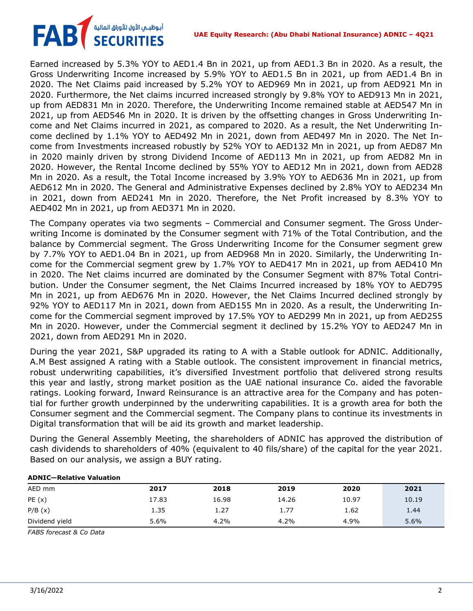#### **UAE Equity Research: (Abu Dhabi National Insurance) ADNIC – 4Q21**

# أبوظبـي الأول للأوراق المالية<br>SECURITIES **FAB**

Earned increased by 5.3% YOY to AED1.4 Bn in 2021, up from AED1.3 Bn in 2020. As a result, the Gross Underwriting Income increased by 5.9% YOY to AED1.5 Bn in 2021, up from AED1.4 Bn in 2020. The Net Claims paid increased by 5.2% YOY to AED969 Mn in 2021, up from AED921 Mn in 2020. Furthermore, the Net claims incurred increased strongly by 9.8% YOY to AED913 Mn in 2021, up from AED831 Mn in 2020. Therefore, the Underwriting Income remained stable at AED547 Mn in 2021, up from AED546 Mn in 2020. It is driven by the offsetting changes in Gross Underwriting Income and Net Claims incurred in 2021, as compared to 2020. As a result, the Net Underwriting Income declined by 1.1% YOY to AED492 Mn in 2021, down from AED497 Mn in 2020. The Net Income from Investments increased robustly by 52% YOY to AED132 Mn in 2021, up from AED87 Mn in 2020 mainly driven by strong Dividend Income of AED113 Mn in 2021, up from AED82 Mn in 2020. However, the Rental Income declined by 55% YOY to AED12 Mn in 2021, down from AED28 Mn in 2020. As a result, the Total Income increased by 3.9% YOY to AED636 Mn in 2021, up from AED612 Mn in 2020. The General and Administrative Expenses declined by 2.8% YOY to AED234 Mn in 2021, down from AED241 Mn in 2020. Therefore, the Net Profit increased by 8.3% YOY to AED402 Mn in 2021, up from AED371 Mn in 2020.

The Company operates via two segments – Commercial and Consumer segment. The Gross Underwriting Income is dominated by the Consumer segment with 71% of the Total Contribution, and the balance by Commercial segment. The Gross Underwriting Income for the Consumer segment grew by 7.7% YOY to AED1.04 Bn in 2021, up from AED968 Mn in 2020. Similarly, the Underwriting Income for the Commercial segment grew by 1.7% YOY to AED417 Mn in 2021, up from AED410 Mn in 2020. The Net claims incurred are dominated by the Consumer Segment with 87% Total Contribution. Under the Consumer segment, the Net Claims Incurred increased by 18% YOY to AED795 Mn in 2021, up from AED676 Mn in 2020. However, the Net Claims Incurred declined strongly by 92% YOY to AED117 Mn in 2021, down from AED155 Mn in 2020. As a result, the Underwriting Income for the Commercial segment improved by 17.5% YOY to AED299 Mn in 2021, up from AED255 Mn in 2020. However, under the Commercial segment it declined by 15.2% YOY to AED247 Mn in 2021, down from AED291 Mn in 2020.

During the year 2021, S&P upgraded its rating to A with a Stable outlook for ADNIC. Additionally, A.M Best assigned A rating with a Stable outlook. The consistent improvement in financial metrics, robust underwriting capabilities, it's diversified Investment portfolio that delivered strong results this year and lastly, strong market position as the UAE national insurance Co. aided the favorable ratings. Looking forward, Inward Reinsurance is an attractive area for the Company and has potential for further growth underpinned by the underwriting capabilities. It is a growth area for both the Consumer segment and the Commercial segment. The Company plans to continue its investments in Digital transformation that will be aid its growth and market leadership.

During the General Assembly Meeting, the shareholders of ADNIC has approved the distribution of cash dividends to shareholders of 40% (equivalent to 40 fils/share) of the capital for the year 2021. Based on our analysis, we assign a BUY rating.

| ADNIC-REIGUVE VAIUAUUII |       |       |       |       |       |
|-------------------------|-------|-------|-------|-------|-------|
| AED mm                  | 2017  | 2018  | 2019  | 2020  | 2021  |
| PE(x)                   | 17.83 | 16.98 | 14.26 | 10.97 | 10.19 |
| P/B(x)                  | 1.35  | 1.27  | 1.77  | 1.62  | 1.44  |
| Dividend yield          | 5.6%  | 4.2%  | 4.2%  | 4.9%  | 5.6%  |

#### **ADNIC—Relative Valuation**

*FABS forecast & Co Data*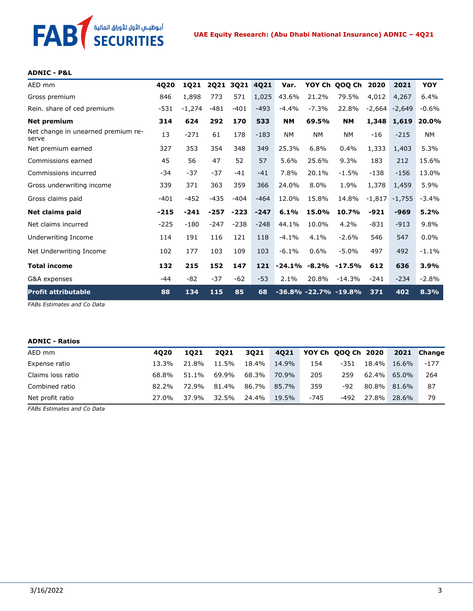# **FAB** *SECURITIES*

### **ADNIC - P&L**

| AED mm                                      | 4020   | 1021     | <b>2Q21</b> |        | 3Q21 4Q21 | Var.      |                  | YOY Ch QOQ Ch             | 2020     | 2021        | <b>YOY</b> |
|---------------------------------------------|--------|----------|-------------|--------|-----------|-----------|------------------|---------------------------|----------|-------------|------------|
| Gross premium                               | 846    | 1,898    | 773         | 571    | 1,025     | 43.6%     | 21.2%            | 79.5%                     | 4,012    | 4,267       | 6.4%       |
| Rein. share of ced premium                  | $-531$ | $-1,274$ | $-481$      | $-401$ | $-493$    | $-4.4%$   | $-7.3%$          | 22.8%                     | $-2,664$ | $-2,649$    | $-0.6%$    |
| <b>Net premium</b>                          | 314    | 624      | 292         | 170    | 533       | <b>NM</b> | 69.5%            | <b>NM</b>                 |          | 1,348 1,619 | 20.0%      |
| Net change in unearned premium re-<br>serve | 13     | $-271$   | 61          | 178    | $-183$    | <b>NM</b> | <b>NM</b>        | <b>NM</b>                 | $-16$    | $-215$      | <b>NM</b>  |
| Net premium earned                          | 327    | 353      | 354         | 348    | 349       | 25.3%     | 6.8%             | 0.4%                      | 1,333    | 1,403       | 5.3%       |
| Commissions earned                          | 45     | 56       | 47          | 52     | 57        | 5.6%      | 25.6%            | 9.3%                      | 183      | 212         | 15.6%      |
| Commissions incurred                        | -34    | $-37$    | $-37$       | -41    | $-41$     | 7.8%      | 20.1%            | $-1.5%$                   | $-138$   | $-156$      | 13.0%      |
| Gross underwriting income                   | 339    | 371      | 363         | 359    | 366       | 24.0%     | 8.0%             | 1.9%                      | 1,378    | 1,459       | 5.9%       |
| Gross claims paid                           | $-401$ | $-452$   | $-435$      | $-404$ | $-464$    | 12.0%     | 15.8%            | 14.8%                     | $-1,817$ | $-1,755$    | $-3.4%$    |
| Net claims paid                             | $-215$ | $-241$   | $-257$      | $-223$ | $-247$    | 6.1%      | 15.0%            | 10.7%                     | $-921$   | $-969$      | 5.2%       |
| Net claims incurred                         | $-225$ | $-180$   | $-247$      | $-238$ | $-248$    | 44.1%     | 10.0%            | 4.2%                      | $-831$   | $-913$      | 9.8%       |
| Underwriting Income                         | 114    | 191      | 116         | 121    | 118       | $-4.1%$   | 4.1%             | $-2.6%$                   | 546      | 547         | $0.0\%$    |
| Net Underwriting Income                     | 102    | 177      | 103         | 109    | 103       | $-6.1%$   | 0.6%             | $-5.0\%$                  | 497      | 492         | $-1.1\%$   |
| <b>Total income</b>                         | 132    | 215      | 152         | 147    | 121       |           | $-24.1\% -8.2\%$ | $-17.5%$                  | 612      | 636         | 3.9%       |
| G&A expenses                                | -44    | $-82$    | $-37$       | -62    | $-53$     | 2.1%      | 20.8%            | $-14.3%$                  | $-241$   | $-234$      | $-2.8%$    |
| <b>Profit attributable</b>                  | 88     | 134      | 115         | 85     | 68        |           |                  | $-36.8\% -22.7\% -19.8\%$ | 371      | 402         | 8.3%       |

*FABs Estimates and Co Data*

### **ADNIC - Ratios**

| AED mm            | 4020     | 1021  | 2021  | 3021  |       | 4021 YOY Ch 000 Ch 2020 |        |          |       | 2021 Change |
|-------------------|----------|-------|-------|-------|-------|-------------------------|--------|----------|-------|-------------|
| Expense ratio     | 13.3%    | 21.8% | 11.5% | 18.4% | 14.9% | 154                     | $-351$ | 18.4%    | 16.6% | $-177$      |
| Claims loss ratio | 68.8%    | 51.1% | 69.9% | 68.3% | 70.9% | 205                     | 259    | $62.4\%$ | 65.0% | 264         |
| Combined ratio    | $82.2\%$ | 72.9% | 81.4% | 86.7% | 85.7% | 359                     | -92    | 80.8%    | 81.6% | 87          |
| Net profit ratio  | 27.0%    | 37.9% | 32.5% | 24.4% | 19.5% | -745                    | -492   | 27.8%    | 28.6% | 79          |

*FABs Estimates and Co Data*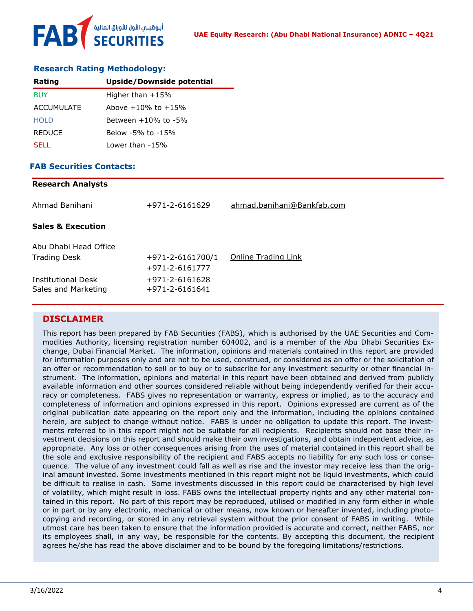

### **Research Rating Methodology:**

| Rating        | Upside/Downside potential |
|---------------|---------------------------|
| BUY           | Higher than $+15%$        |
| ACCUMULATE    | Above $+10\%$ to $+15\%$  |
| <b>HOLD</b>   | Between $+10\%$ to $-5\%$ |
| <b>REDUCE</b> | Below -5% to -15%         |
| <b>SELL</b>   | Lower than -15%           |

### **FAB Securities Contacts: Research Analysts**

| Research Analysts                                |                                          |                            |
|--------------------------------------------------|------------------------------------------|----------------------------|
| Ahmad Banihani                                   | +971-2-6161629                           | ahmad.banihani@Bankfab.com |
| <b>Sales &amp; Execution</b>                     |                                          |                            |
| Abu Dhabi Head Office<br><b>Trading Desk</b>     | $+971 - 2 - 6161700/1$<br>+971-2-6161777 | Online Trading Link        |
| <b>Institutional Desk</b><br>Sales and Marketing | +971-2-6161628<br>+971-2-6161641         |                            |

### **DISCLAIMER**

This report has been prepared by FAB Securities (FABS), which is authorised by the UAE Securities and Commodities Authority, licensing registration number 604002, and is a member of the Abu Dhabi Securities Exchange, Dubai Financial Market. The information, opinions and materials contained in this report are provided for information purposes only and are not to be used, construed, or considered as an offer or the solicitation of an offer or recommendation to sell or to buy or to subscribe for any investment security or other financial instrument. The information, opinions and material in this report have been obtained and derived from publicly available information and other sources considered reliable without being independently verified for their accuracy or completeness. FABS gives no representation or warranty, express or implied, as to the accuracy and completeness of information and opinions expressed in this report. Opinions expressed are current as of the original publication date appearing on the report only and the information, including the opinions contained herein, are subject to change without notice. FABS is under no obligation to update this report. The investments referred to in this report might not be suitable for all recipients. Recipients should not base their investment decisions on this report and should make their own investigations, and obtain independent advice, as appropriate. Any loss or other consequences arising from the uses of material contained in this report shall be the sole and exclusive responsibility of the recipient and FABS accepts no liability for any such loss or consequence. The value of any investment could fall as well as rise and the investor may receive less than the original amount invested. Some investments mentioned in this report might not be liquid investments, which could be difficult to realise in cash. Some investments discussed in this report could be characterised by high level of volatility, which might result in loss. FABS owns the intellectual property rights and any other material contained in this report. No part of this report may be reproduced, utilised or modified in any form either in whole or in part or by any electronic, mechanical or other means, now known or hereafter invented, including photocopying and recording, or stored in any retrieval system without the prior consent of FABS in writing. While utmost care has been taken to ensure that the information provided is accurate and correct, neither FABS, nor its employees shall, in any way, be responsible for the contents. By accepting this document, the recipient agrees he/she has read the above disclaimer and to be bound by the foregoing limitations/restrictions.